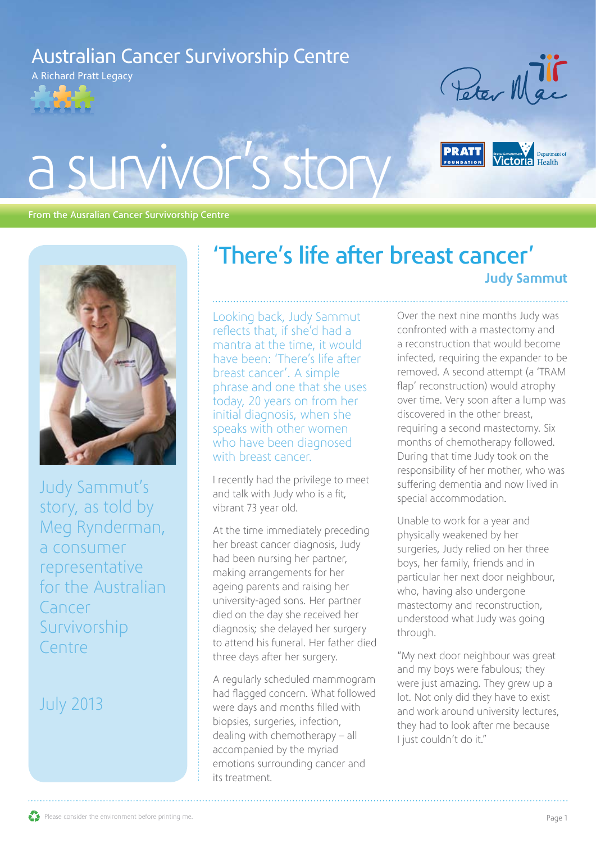## Australian Cancer Survivorship Centre

A Richard Pratt Legacy







#### From the Ausralian Cancer Survivorship Centre



Judy Sammut's story, as told by Meg Rynderman, a consumer representative for the Australian Cancer Survivorship Centre

### July 2013

## 'There's life after breast cancer' Judy Sammut

Looking back, Judy Sammut reflects that, if she'd had a mantra at the time, it would have been: 'There's life after breast cancer'. A simple phrase and one that she uses today, 20 years on from her initial diagnosis, when she speaks with other women who have been diagnosed with breast cancer.

I recently had the privilege to meet and talk with Judy who is a fit, vibrant 73 year old.

At the time immediately preceding her breast cancer diagnosis, Judy had been nursing her partner, making arrangements for her ageing parents and raising her university-aged sons. Her partner died on the day she received her diagnosis; she delayed her surgery to attend his funeral. Her father died three days after her surgery.

A regularly scheduled mammogram had flagged concern. What followed were days and months filled with biopsies, surgeries, infection, dealing with chemotherapy – all accompanied by the myriad emotions surrounding cancer and its treatment.

Over the next nine months Judy was confronted with a mastectomy and a reconstruction that would become infected, requiring the expander to be removed. A second attempt (a 'TRAM flap' reconstruction) would atrophy over time. Very soon after a lump was discovered in the other breast, requiring a second mastectomy. Six months of chemotherapy followed. During that time Judy took on the responsibility of her mother, who was suffering dementia and now lived in special accommodation.

Unable to work for a year and physically weakened by her surgeries, Judy relied on her three boys, her family, friends and in particular her next door neighbour, who, having also undergone mastectomy and reconstruction, understood what Judy was going through.

"My next door neighbour was great and my boys were fabulous; they were just amazing. They grew up a lot. Not only did they have to exist and work around university lectures, they had to look after me because I just couldn't do it."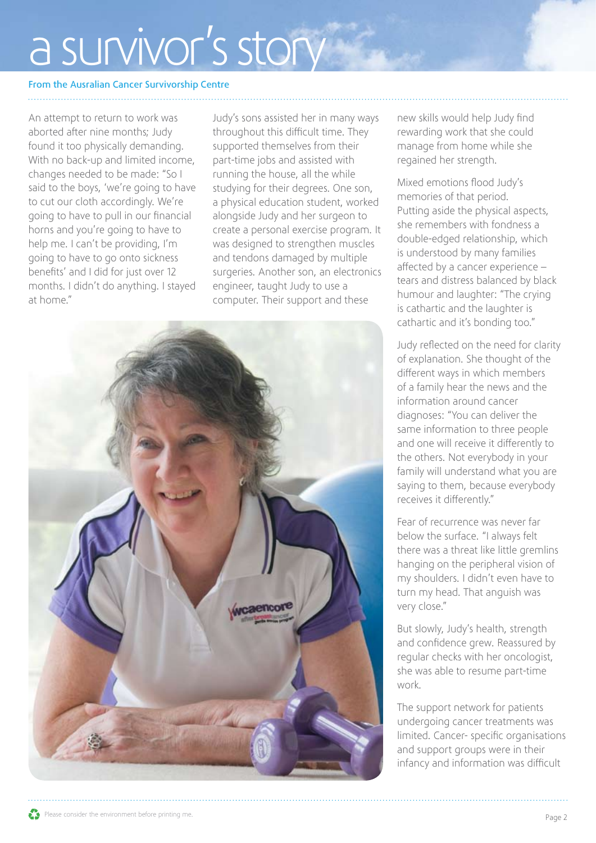# a survivor's story

#### From the Ausralian Cancer Survivorship Centre

An attempt to return to work was aborted after nine months; Judy found it too physically demanding. With no back-up and limited income, changes needed to be made: "So I said to the boys, 'we're going to have to cut our cloth accordingly. We're going to have to pull in our financial horns and you're going to have to help me. I can't be providing, I'm going to have to go onto sickness benefits' and I did for just over 12 months. I didn't do anything. I stayed at home."

Judy's sons assisted her in many ways throughout this difficult time. They supported themselves from their part-time jobs and assisted with running the house, all the while studying for their degrees. One son, a physical education student, worked alongside Judy and her surgeon to create a personal exercise program. It was designed to strengthen muscles and tendons damaged by multiple surgeries. Another son, an electronics engineer, taught Judy to use a computer. Their support and these



new skills would help Judy find rewarding work that she could manage from home while she regained her strength.

Mixed emotions flood Judy's memories of that period. Putting aside the physical aspects, she remembers with fondness a double-edged relationship, which is understood by many families affected by a cancer experience – tears and distress balanced by black humour and laughter: "The crying is cathartic and the laughter is cathartic and it's bonding too."

Judy reflected on the need for clarity of explanation. She thought of the different ways in which members of a family hear the news and the information around cancer diagnoses: "You can deliver the same information to three people and one will receive it differently to the others. Not everybody in your family will understand what you are saying to them, because everybody receives it differently."

Fear of recurrence was never far below the surface. "I always felt there was a threat like little gremlins hanging on the peripheral vision of my shoulders. I didn't even have to turn my head. That anguish was very close."

But slowly, Judy's health, strength and confidence grew. Reassured by regular checks with her oncologist, she was able to resume part-time work.

The support network for patients undergoing cancer treatments was limited. Cancer- specific organisations and support groups were in their infancy and information was difficult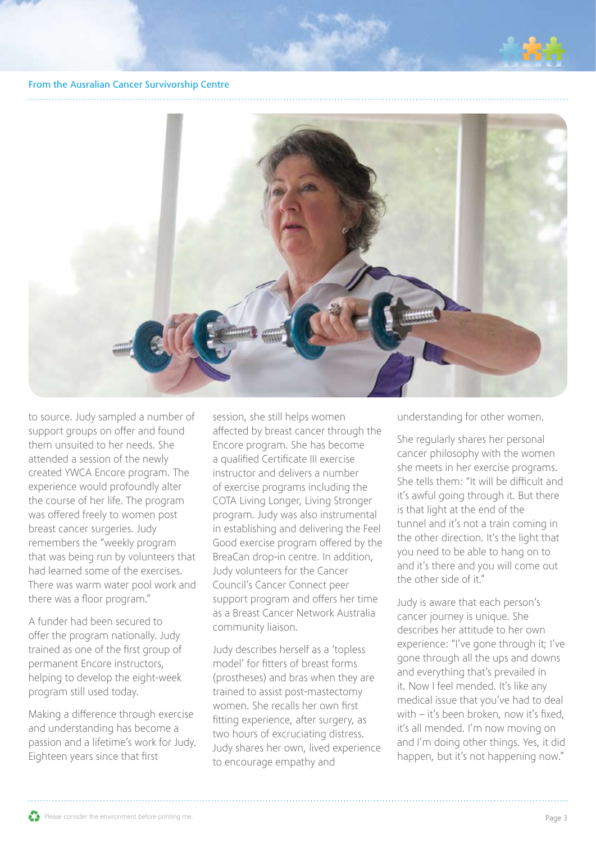

#### From the Ausralian Cancer Survivorship Centre



to source. Judy sampled a number of support groups on offer and found them unsuited to her needs. She attended a session of the newly created YWCA Encore program. The experience would profoundly alter the course of her life. The program was offered freely to women post breast cancer surgeries. Judy remembers the "weekly program that was being run by volunteers that had learned some of the exercises. There was warm water pool work and there was a floor program."

A funder had been secured to offer the program nationally. Judy trained as one of the first group of permanent Encore instructors, helping to develop the eight-week program still used today.

Making a difference through exercise and understanding has become a passion and a lifetime's work for Judy. Eighteen years since that first

session, she still helps women affected by breast cancer through the Encore program. She has become a qualified Certificate III exercise instructor and delivers a number of exercise programs including the COTA Living Longer, Living Stronger program. Judy was also instrumental in establishing and delivering the Feel Good exercise program offered by the BreaCan drop-in centre. In addition, Judy volunteers for the Cancer Council's Cancer Connect peer support program and offers her time as a Breast Cancer Network Australia community liaison.

Judy describes herself as a 'topless model' for fitters of breast forms (prostheses) and bras when they are trained to assist post-mastectomy women. She recalls her own first fitting experience, after surgery, as two hours of excruciating distress. Judy shares her own, lived experience to encourage empathy and

understanding for other women.

She regularly shares her personal cancer philosophy with the women she meets in her exercise programs. She tells them: "It will be difficult and it's awful going through it. But there is that light at the end of the tunnel and it's not a train coming in the other direction. It's the light that you need to be able to hang on to and it's there and you will come out the other side of it."

Judy is aware that each person's cancer journey is unique. She describes her attitude to her own experience: "I've gone through it; I've gone through all the ups and downs and everything that's prevailed in it. Now I feel mended. It's like any medical issue that you've had to deal with – it's been broken, now it's fixed, it's all mended. I'm now moving on and I'm doing other things. Yes, it did happen, but it's not happening now."